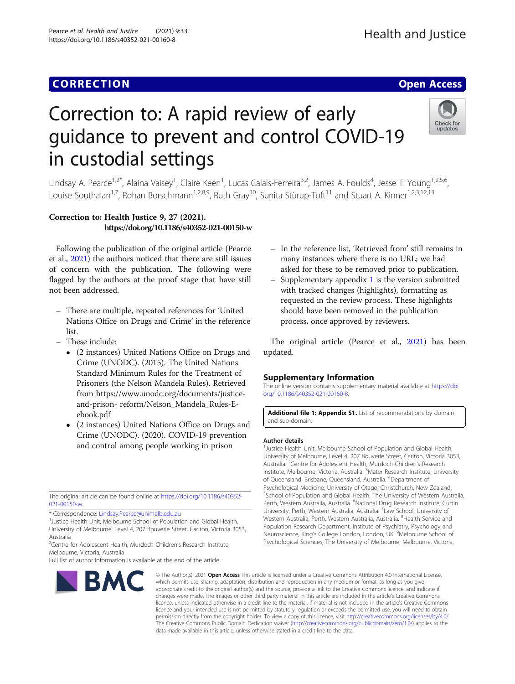https://doi.org/10.1186/s40352-021-00160-8

# Correction to: A rapid review of early guidance to prevent and control COVID-19 in custodial settings



Lindsay A. Pearce<sup>1,2\*</sup>, Alaina Vaisey<sup>1</sup>, Claire Keen<sup>1</sup>, Lucas Calais-Ferreira<sup>3,2</sup>, James A. Foulds<sup>4</sup>, Jesse T. Young<sup>1,2,5,6</sup>, Louise Southalan<sup>1,7</sup>, Rohan Borschmann<sup>1,2,8,9</sup>, Ruth Gray<sup>10</sup>, Sunita Stürup-Toft<sup>11</sup> and Stuart A. Kinner<sup>1,2,3,12,13</sup>

## Correction to: Health Justice 9, 27 (2021). https://doi.org/10.1186/s40352-021-00150-w

Following the publication of the original article (Pearce et al., [2021](#page-1-0)) the authors noticed that there are still issues of concern with the publication. The following were flagged by the authors at the proof stage that have still not been addressed.

- There are multiple, repeated references for 'United Nations Office on Drugs and Crime' in the reference list.
- These include:
	- (2 instances) United Nations Office on Drugs and Crime (UNODC). (2015). The United Nations Standard Minimum Rules for the Treatment of Prisoners (the Nelson Mandela Rules). Retrieved from https://www.unodc.org/documents/justiceand-prison- reform/Nelson\_Mandela\_Rules-Eebook.pdf
	- (2 instances) United Nations Office on Drugs and Crime (UNODC). (2020). COVID-19 prevention and control among people working in prison

The original article can be found online at [https://doi.org/10.1186/s40352-](https://doi.org/10.1186/s40352-021-00150-w) [021-00150-w](https://doi.org/10.1186/s40352-021-00150-w).

\* Correspondence: [Lindsay.Pearce@unimelb.edu.au](mailto:Lindsay.Pearce@unimelb.edu.au) <sup>1</sup>

<sup>1</sup> Justice Health Unit, Melbourne School of Population and Global Health, University of Melbourne, Level 4, 207 Bouverie Street, Carlton, Victoria 3053, Australia

<sup>2</sup>Centre for Adolescent Health, Murdoch Children's Research Institute, Melbourne, Victoria, Australia

Full list of author information is available at the end of the article

# – In the reference list, 'Retrieved from' still remains in many instances where there is no URL; we had asked for these to be removed prior to publication.

– Supplementary appendix  $1$  is the version submitted with tracked changes (highlights), formatting as requested in the review process. These highlights should have been removed in the publication process, once approved by reviewers.

The original article (Pearce et al., [2021](#page-1-0)) has been updated.

### Supplementary Information

The online version contains supplementary material available at [https://doi.](https://doi.org/10.1186/s40352-021-00160-8) [org/10.1186/s40352-021-00160-8.](https://doi.org/10.1186/s40352-021-00160-8)

Additional file 1: Appendix S1. List of recommendations by domain and sub-domain.

#### Author details

<sup>1</sup> Justice Health Unit, Melbourne School of Population and Global Health University of Melbourne, Level 4, 207 Bouverie Street, Carlton, Victoria 3053, Australia. <sup>2</sup>Centre for Adolescent Health, Murdoch Children's Research Institute, Melbourne, Victoria, Australia. <sup>3</sup>Mater Research Institute, University of Queensland, Brisbane, Queensland, Australia. <sup>4</sup>Department of Psychological Medicine, University of Otago, Christchurch, New Zealand. <sup>5</sup>School of Population and Global Health, The University of Western Australia, Perth, Western Australia, Australia. <sup>6</sup>National Drug Research Institute, Curtin University, Perth, Western Australia, Australia. <sup>7</sup> Law School, University of Western Australia, Perth, Western Australia, Australia. <sup>8</sup>Health Service and Population Research Department, Institute of Psychiatry, Psychology and Neuroscience, King's College London, London, UK. <sup>9</sup>Melbourne School of Psychological Sciences, The University of Melbourne, Melbourne, Victoria,

**BMC** 

© The Author(s), 2021 **Open Access** This article is licensed under a Creative Commons Attribution 4.0 International License, which permits use, sharing, adaptation, distribution and reproduction in any medium or format, as long as you give appropriate credit to the original author(s) and the source, provide a link to the Creative Commons licence, and indicate if changes were made. The images or other third party material in this article are included in the article's Creative Commons licence, unless indicated otherwise in a credit line to the material. If material is not included in the article's Creative Commons licence and your intended use is not permitted by statutory regulation or exceeds the permitted use, you will need to obtain permission directly from the copyright holder. To view a copy of this licence, visit [http://creativecommons.org/licenses/by/4.0/.](http://creativecommons.org/licenses/by/4.0/) The Creative Commons Public Domain Dedication waiver [\(http://creativecommons.org/publicdomain/zero/1.0/](http://creativecommons.org/publicdomain/zero/1.0/)) applies to the data made available in this article, unless otherwise stated in a credit line to the data.